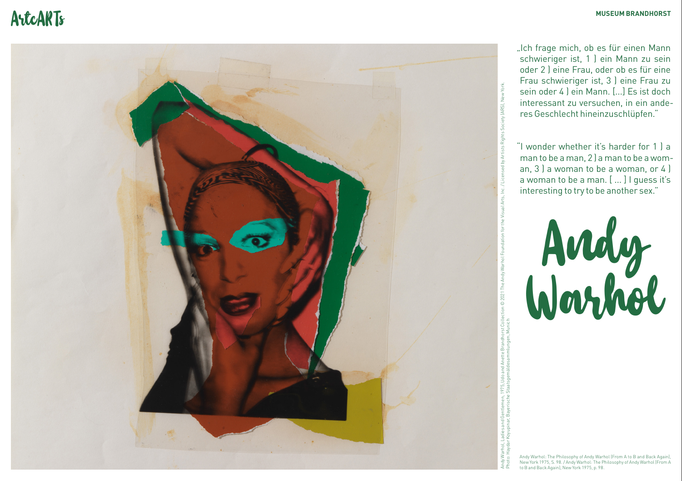# ArtcARTs<sup>horst</sup> Museum Brandhorst



"Ich frage mich, ob es für einen Mann schwieriger ist, 1 ) ein Mann zu sein oder 2 ) eine Frau, oder ob es für eine Frau schwieriger ist, 3 ) eine Frau zu sein oder 4 ) ein Mann. [...] Es ist doch interessant zu versuchen, in ein ande res Geschlecht hineinzuschlüpfen."

"I wonder whether it's harder for 1 ) a man to be a man, 2 ) a man to be a wom an, 3 ) a woman to be a woman, or 4 ) a woman to be a man. [ ... ] I guess it's interesting to try to be another sex."



Andy Warhol: The Philosophy of Andy Warhol (From A to B and Back Again) New York 1975, S. 98. / Andy Warhol: The Philosophy of Andy Warhol (From A to B and Back Again), New York 1975, p. 98.